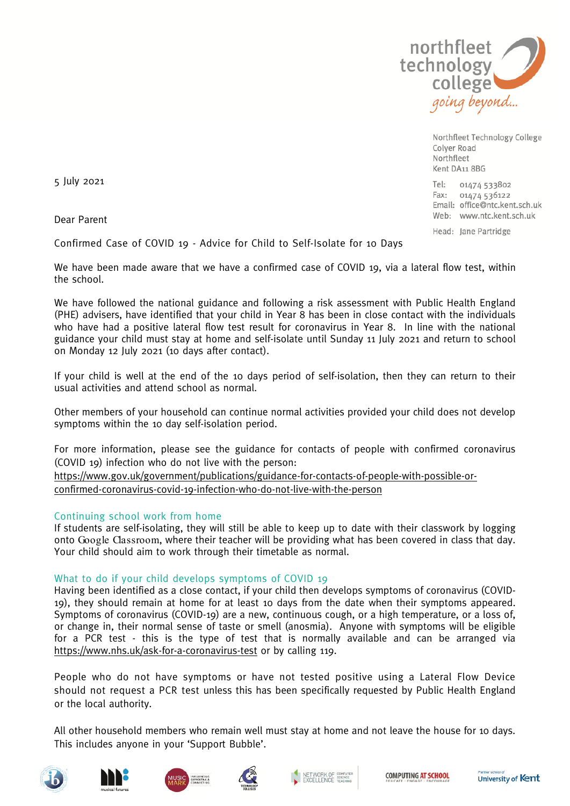

Northfleet Technology College Colver Road Northfleet Kent DA11 8BG

 $Te$ 01474 533802 Fax: 01474 536122 Email: office@ntc.kent.sch.uk Web: www.ntc.kent.sch.uk Head: Jane Partridge

5 July 2021

Dear Parent

Confirmed Case of COVID 19 - Advice for Child to Self-Isolate for 10 Days

We have been made aware that we have a confirmed case of COVID 19, via a lateral flow test, within the school.

We have followed the national guidance and following a risk assessment with Public Health England (PHE) advisers, have identified that your child in Year 8 has been in close contact with the individuals who have had a positive lateral flow test result for coronavirus in Year 8. In line with the national guidance your child must stay at home and self-isolate until Sunday 11 July 2021 and return to school on Monday 12 July 2021 (10 days after contact).

If your child is well at the end of the 10 days period of self-isolation, then they can return to their usual activities and attend school as normal.

Other members of your household can continue normal activities provided your child does not develop symptoms within the 10 day self-isolation period.

For more information, please see the guidance for contacts of people with confirmed coronavirus (COVID 19) infection who do not live with the person:

[https://www.gov.uk/government/publications/guidance-for-contacts-of-people-with-possible-or](https://www.gov.uk/government/publications/guidance-for-contacts-of-people-with-possible-or-confirmed-coronavirus-covid-19-infection-who-do-not-live-with-the-person)[confirmed-coronavirus-covid-19-infection-who-do-not-live-with-the-person](https://www.gov.uk/government/publications/guidance-for-contacts-of-people-with-possible-or-confirmed-coronavirus-covid-19-infection-who-do-not-live-with-the-person)

# Continuing school work from home

If students are self-isolating, they will still be able to keep up to date with their classwork by logging onto Google Classroom, where their teacher will be providing what has been covered in class that day. Your child should aim to work through their timetable as normal.

# What to do if your child develops symptoms of COVID 19

Having been identified as a close contact, if your child then develops symptoms of coronavirus (COVID-19), they should remain at home for at least 10 days from the date when their symptoms appeared. Symptoms of coronavirus (COVID-19) are a new, continuous cough, or a high temperature, or a loss of, or change in, their normal sense of taste or smell (anosmia). Anyone with symptoms will be eligible for a PCR test - this is the type of test that is normally available and can be arranged via <https://www.nhs.uk/ask-for-a-coronavirus-test> or by calling 119.

People who do not have symptoms or have not tested positive using a Lateral Flow Device should not request a PCR test unless this has been specifically requested by Public Health England or the local authority.

All other household members who remain well must stay at home and not leave the house for 10 days. This includes anyone in your 'Support Bubble'.